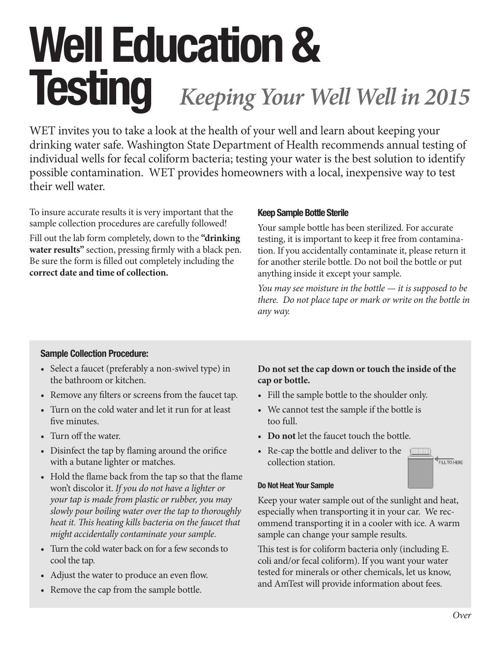# Well Education & **Testing** *Keeping Your Well Well in 2015*

WET invites you to take a look at the health of your well and learn about keeping your drinking water safe. Washington State Department of Health recommends annual testing of individual wells for fecal coliform bacteria; testing your water is the best solution to identify possible contamination. WET provides homeowners with a local, inexpensive way to test their well water.

To insure accurate results it is very important that the sample collection procedures are carefully followed!

Fill out the lab form completely, down to the **"drinking water results"** section, pressing firmly with a black pen. Be sure the form is filled out completely including the **correct date and time of collection.**

## Keep Sample Bottle Sterile

Your sample bottle has been sterilized. For accurate testing, it is important to keep it free from contamination. If you accidentally contaminate it, please return it for another sterile bottle. Do not boil the bottle or put anything inside it except your sample.

*You may see moisture in the bottle — it is supposed to be there. Do not place tape or mark or write on the bottle in any way.*

## Sample Collection Procedure:

- Select a faucet (preferably a non-swivel type) in the bathroom or kitchen.
- Remove any filters or screens from the faucet tap.
- Turn on the cold water and let it run for at least five minutes.
- Turn off the water.
- Disinfect the tap by flaming around the orifice with a butane lighter or matches.
- Hold the flame back from the tap so that the flame won't discolor it. *If you do not have a lighter or your tap is made from plastic or rubber, you may slowly pour boiling water over the tap to thoroughly heat it. This heating kills bacteria on the faucet that might accidentally contaminate your sample.*
- Turn the cold water back on for a few seconds to cool the tap.
- Adjust the water to produce an even flow.
- Remove the cap from the sample bottle.

## **Do not set the cap down or touch the inside of the cap or bottle.**

- Fill the sample bottle to the shoulder only.
- We cannot test the sample if the bottle is too full.
- **Do not** let the faucet touch the bottle.
- Re-cap the bottle and deliver to the collection station.



## Do Not Heat Your Sample

Keep your water sample out of the sunlight and heat, especially when transporting it in your car. We recommend transporting it in a cooler with ice. A warm sample can change your sample results.

This test is for coliform bacteria only (including E. coli and/or fecal coliform). If you want your water tested for minerals or other chemicals, let us know, and AmTest will provide information about fees.